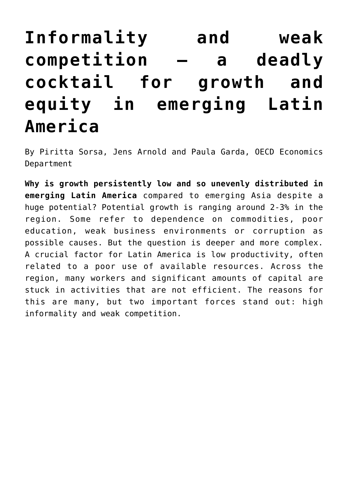# **[Informality and weak](https://oecdecoscope.blog/2019/11/28/informality-and-weak-competition-a-deadly-cocktail-for-growth-and-equity-in-emerging-latin-america/) [competition – a deadly](https://oecdecoscope.blog/2019/11/28/informality-and-weak-competition-a-deadly-cocktail-for-growth-and-equity-in-emerging-latin-america/) [cocktail for growth and](https://oecdecoscope.blog/2019/11/28/informality-and-weak-competition-a-deadly-cocktail-for-growth-and-equity-in-emerging-latin-america/) [equity in emerging Latin](https://oecdecoscope.blog/2019/11/28/informality-and-weak-competition-a-deadly-cocktail-for-growth-and-equity-in-emerging-latin-america/) [America](https://oecdecoscope.blog/2019/11/28/informality-and-weak-competition-a-deadly-cocktail-for-growth-and-equity-in-emerging-latin-america/)**

By Piritta Sorsa, Jens Arnold and Paula Garda, OECD Economics Department

**Why is growth persistently low and so unevenly distributed in emerging Latin America** compared to emerging Asia despite a huge potential? Potential growth is ranging around 2-3% in the region. Some refer to dependence on commodities, poor education, weak business environments or corruption as possible causes. But the question is deeper and more complex. A crucial factor for Latin America is low productivity, often related to a poor use of available resources. Across the region, many workers and significant amounts of capital are stuck in activities that are not efficient. The reasons for this are many, but two important forces stand out: high informality and weak competition.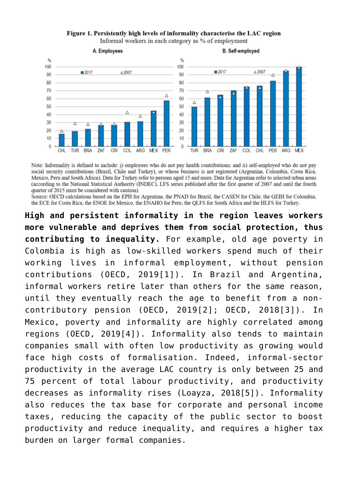#### Figure 1. Persistently high levels of informality characterise the LAC region Informal workers in each category as % of employment



Note: Informality is defined to include: i) employees who do not pay health contributions; and ii) self-employed who do not pay social security contributions (Brazil, Chile and Turkey), or whose business is not registered (Argentina, Colombia, Costa Rica, Mexico, Peru and South Africa). Data for Turkey refer to persons aged 15 and more. Data for Argentina refer to selected urban areas (according to the National Statistical Authority (INDEC), LFS series published after the first quarter of 2007 and until the fourth quarter of 2015 must be considered with caution).

Source: OECD calculations based on the EPH for Argentina, the PNAD for Brazil, the CASEN for Chile, the GEIH for Colombia, the ECE for Costa Rica, the ENOE for Mexico, the ENAHO for Peru, the QLFS for South Africa and the HLFS for Turkey.

**High and persistent informality in the region leaves workers more vulnerable and deprives them from social protection, thus contributing to inequality.** For example, old age poverty in [Colombia](http://www.oecd.org/economy/colombia-economic-snapshot/) is high as low-skilled workers spend much of their working lives in informal employment, without pension contributions (OECD, 2019[1]). In [Brazil](http://www.oecd.org/economy/brazil-economic-snapshot/) and [Argentina,](http://www.oecd.org/economy/argentina-economic-snapshot/) informal workers retire later than others for the same reason, until they eventually reach the age to benefit from a noncontributory pension (OECD, 2019[2]; OECD, 2018[3]). In [Mexico](http://www.oecd.org/economy/mexico-economic-snapshot/), poverty and informality are highly correlated among regions (OECD, 2019[4]). Informality also tends to maintain companies small with often low productivity as growing would face high costs of formalisation. Indeed, informal-sector productivity in the average LAC country is only between 25 and 75 percent of total labour productivity, and productivity decreases as informality rises (Loayza, 2018[5]). Informality also reduces the tax base for corporate and personal income taxes, reducing the capacity of the public sector to boost productivity and reduce inequality, and requires a higher tax burden on larger formal companies.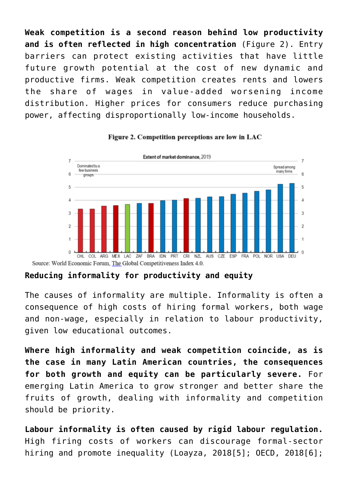**Weak competition is a second reason behind low productivity and is often reflected in high concentration** (Figure 2). Entry barriers can protect existing activities that have little future growth potential at the cost of new dynamic and productive firms. Weak competition creates rents and lowers the share of wages in value-added worsening income distribution. Higher prices for consumers reduce purchasing power, affecting disproportionally low-income households.



#### Figure 2. Competition perceptions are low in LAC

**Reducing informality for productivity and equity**

The causes of informality are multiple. Informality is often a consequence of high costs of hiring formal workers, both wage and non-wage, especially in relation to labour productivity, given low educational outcomes.

**Where high informality and weak competition coincide, as is the case in many Latin American countries, the consequences for both growth and equity can be particularly severe.** For emerging Latin America to grow stronger and better share the fruits of growth, dealing with informality and competition should be priority.

**Labour informality is often caused by rigid labour regulation.** High firing costs of workers can discourage formal-sector hiring and promote inequality (Loayza, 2018[5]; OECD, 2018[6];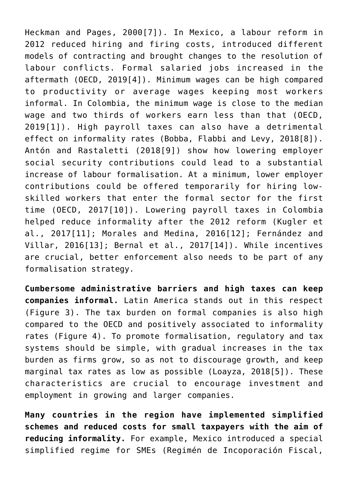Heckman and Pages, 2000[7]). In [Mexico](http://www.oecd.org/economy/mexico-economic-snapshot/), a labour reform in 2012 reduced hiring and firing costs, introduced different models of contracting and brought changes to the resolution of labour conflicts. Formal salaried jobs increased in the aftermath (OECD, 2019[4]). Minimum wages can be high compared to productivity or average wages keeping most workers informal. In [Colombia](http://www.oecd.org/economy/colombia-economic-snapshot/), the minimum wage is close to the median wage and two thirds of workers earn less than that (OECD, 2019[1]). High payroll taxes can also have a detrimental effect on informality rates (Bobba, Flabbi and Levy, 2018[8]). Antón and Rastaletti (2018[9]) show how lowering employer social security contributions could lead to a substantial increase of labour formalisation. At a minimum, lower employer contributions could be offered temporarily for hiring lowskilled workers that enter the formal sector for the first time (OECD, 2017[10]). Lowering payroll taxes in [Colombia](http://www.oecd.org/economy/colombia-economic-snapshot/) helped reduce informality after the 2012 reform (Kugler et al., 2017[11]; Morales and Medina, 2016[12]; Fernández and Villar, 2016[13]; Bernal et al., 2017[14]). While incentives are crucial, better enforcement also needs to be part of any formalisation strategy.

**Cumbersome administrative barriers and high taxes can keep companies informal.** Latin America stands out in this respect (Figure 3). The tax burden on formal companies is also high compared to the OECD and positively associated to informality rates (Figure 4). To promote formalisation, regulatory and tax systems should be simple, with gradual increases in the tax burden as firms grow, so as not to discourage growth, and keep marginal tax rates as low as possible (Loayza, 2018[5]). These characteristics are crucial to encourage investment and employment in growing and larger companies.

**Many countries in the region have implemented simplified schemes and reduced costs for small taxpayers with the aim of reducing informality.** For example, [Mexico](http://www.oecd.org/economy/mexico-economic-snapshot/) introduced a special simplified regime for SMEs (Regimén de Incoporación Fiscal,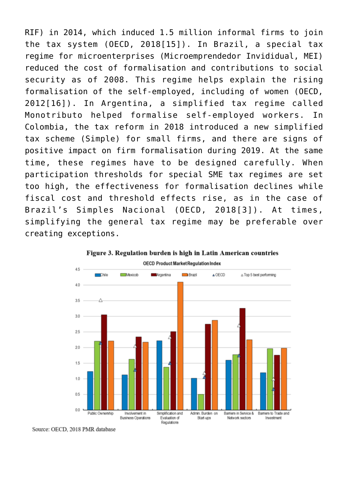RIF) in 2014, which induced 1.5 million informal firms to join the tax system (OECD, 2018[15]). In [Brazil,](http://www.oecd.org/economy/brazil-economic-snapshot/) a special tax regime for microenterprises (Microemprendedor Invididual, MEI) reduced the cost of formalisation and contributions to social security as of 2008. This regime helps explain the rising formalisation of the self-employed, including of women (OECD, 2012[16]). In [Argentina,](http://www.oecd.org/economy/argentina-economic-snapshot/) a simplified tax regime called Monotributo helped formalise self-employed workers. In [Colombia,](http://www.oecd.org/economy/colombia-economic-snapshot/) the tax reform in 2018 introduced a new simplified tax scheme (Simple) for small firms, and there are signs of positive impact on firm formalisation during 2019. At the same time, these regimes have to be designed carefully. When participation thresholds for special SME tax regimes are set too high, the effectiveness for formalisation declines while fiscal cost and threshold effects rise, as in the case of Brazil's Simples Nacional (OECD, 2018[3]). At times, simplifying the general tax regime may be preferable over creating exceptions.



Figure 3. Regulation burden is high in Latin American countries

Source: OECD, 2018 PMR database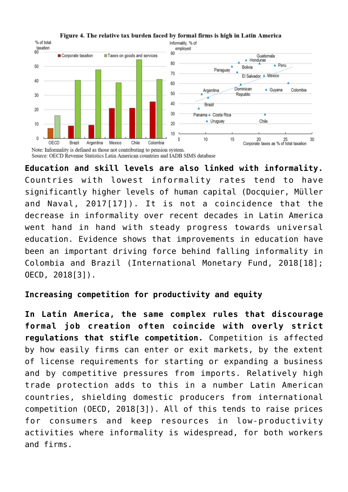

Figure 4. The relative tax burden faced by formal firms is high in Latin America

Note: Informality is defined as those not contributing to pension system. Source: OECD Revenue Statistics Latin American countries and IADB SIMS database

**Education and skill levels are also linked with informality.** Countries with lowest informality rates tend to have significantly higher levels of human capital (Docquier, Müller and Naval, 2017[17]). It is not a coincidence that the decrease in informality over recent decades in Latin America went hand in hand with steady progress towards universal education. Evidence shows that improvements in education have been an important driving force behind falling informality in [Colombia a](http://www.oecd.org/economy/colombia-economic-snapshot/)nd [Brazil](http://www.oecd.org/economy/brazil-economic-snapshot/) (International Monetary Fund, 2018[18]; OECD, 2018[3]).

## **Increasing competition for productivity and equity**

**In Latin America, the same complex rules that discourage formal job creation often coincide with overly strict regulations that stifle competition.** Competition is affected by how easily firms can enter or exit markets, by the extent of license requirements for starting or expanding a business and by competitive pressures from imports. Relatively high trade protection adds to this in a number Latin American countries, shielding domestic producers from international competition (OECD, 2018[3]). All of this tends to raise prices for consumers and keep resources in low-productivity activities where informality is widespread, for both workers and firms.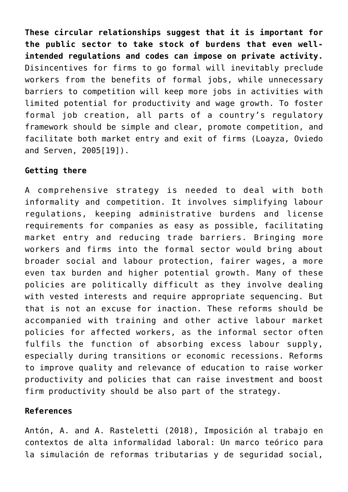**These circular relationships suggest that it is important for the public sector to take stock of burdens that even wellintended regulations and codes can impose on private activity.** Disincentives for firms to go formal will inevitably preclude workers from the benefits of formal jobs, while unnecessary barriers to competition will keep more jobs in activities with limited potential for productivity and wage growth. To foster formal job creation, all parts of a country's regulatory framework should be simple and clear, promote competition, and facilitate both market entry and exit of firms (Loayza, Oviedo and Serven, 2005[19]).

## **Getting there**

A comprehensive strategy is needed to deal with both informality and competition. It involves simplifying labour regulations, keeping administrative burdens and license requirements for companies as easy as possible, facilitating market entry and reducing trade barriers. Bringing more workers and firms into the formal sector would bring about broader social and labour protection, fairer wages, a more even tax burden and higher potential growth. Many of these policies are politically difficult as they involve dealing with vested interests and require appropriate sequencing. But that is not an excuse for inaction. These reforms should be accompanied with training and other active labour market policies for affected workers, as the informal sector often fulfils the function of absorbing excess labour supply, especially during transitions or economic recessions. Reforms to improve quality and relevance of education to raise worker productivity and policies that can raise investment and boost firm productivity should be also part of the strategy.

#### **References**

Antón, A. and A. Rasteletti (2018), Imposición al trabajo en contextos de alta informalidad laboral: Un marco teórico para la simulación de reformas tributarias y de seguridad social,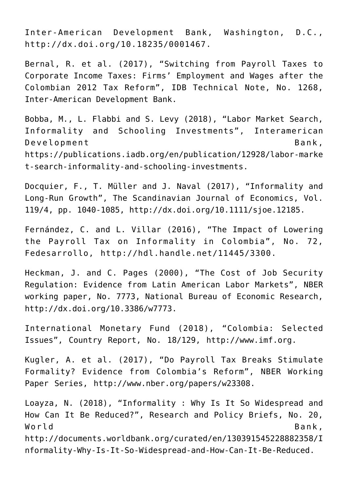Inter-American Development Bank, Washington, D.C., [http://dx.doi.org/10.18235/0001467.](http://dx.doi.org/10.18235/0001467)

Bernal, R. et al. (2017), "Switching from Payroll Taxes to Corporate Income Taxes: Firms' Employment and Wages after the Colombian 2012 Tax Reform", IDB Technical Note, No. 1268, Inter-American Development Bank.

Bobba, M., L. Flabbi and S. Levy (2018), "Labor Market Search, Informality and Schooling Investments", Interamerican Development Bank, https://publications.iadb.org/en/publication/12928/labor-marke t-search-informality-and-schooling-investments.

Docquier, F., T. Müller and J. Naval (2017), "Informality and Long-Run Growth", The Scandinavian Journal of Economics, Vol. 119/4, pp. 1040-1085, http://dx.doi.org/10.1111/sjoe.12185.

Fernández, C. and L. Villar (2016), "The Impact of Lowering the Payroll Tax on Informality in Colombia", No. 72, Fedesarrollo, http://hdl.handle.net/11445/3300.

Heckman, J. and C. Pages (2000), "The Cost of Job Security Regulation: Evidence from Latin American Labor Markets", NBER working paper, No. 7773, National Bureau of Economic Research, http://dx.doi.org/10.3386/w7773.

International Monetary Fund (2018), "Colombia: Selected Issues", Country Report, No. 18/129, http://www.imf.org.

Kugler, A. et al. (2017), "Do Payroll Tax Breaks Stimulate Formality? Evidence from Colombia's Reform", NBER Working Paper Series, http://www.nber.org/papers/w23308.

Loayza, N. (2018), "Informality : Why Is It So Widespread and How Can It Be Reduced?", Research and Policy Briefs, No. 20, World Bank, http://documents.worldbank.org/curated/en/130391545228882358/I nformality-Why-Is-It-So-Widespread-and-How-Can-It-Be-Reduced.